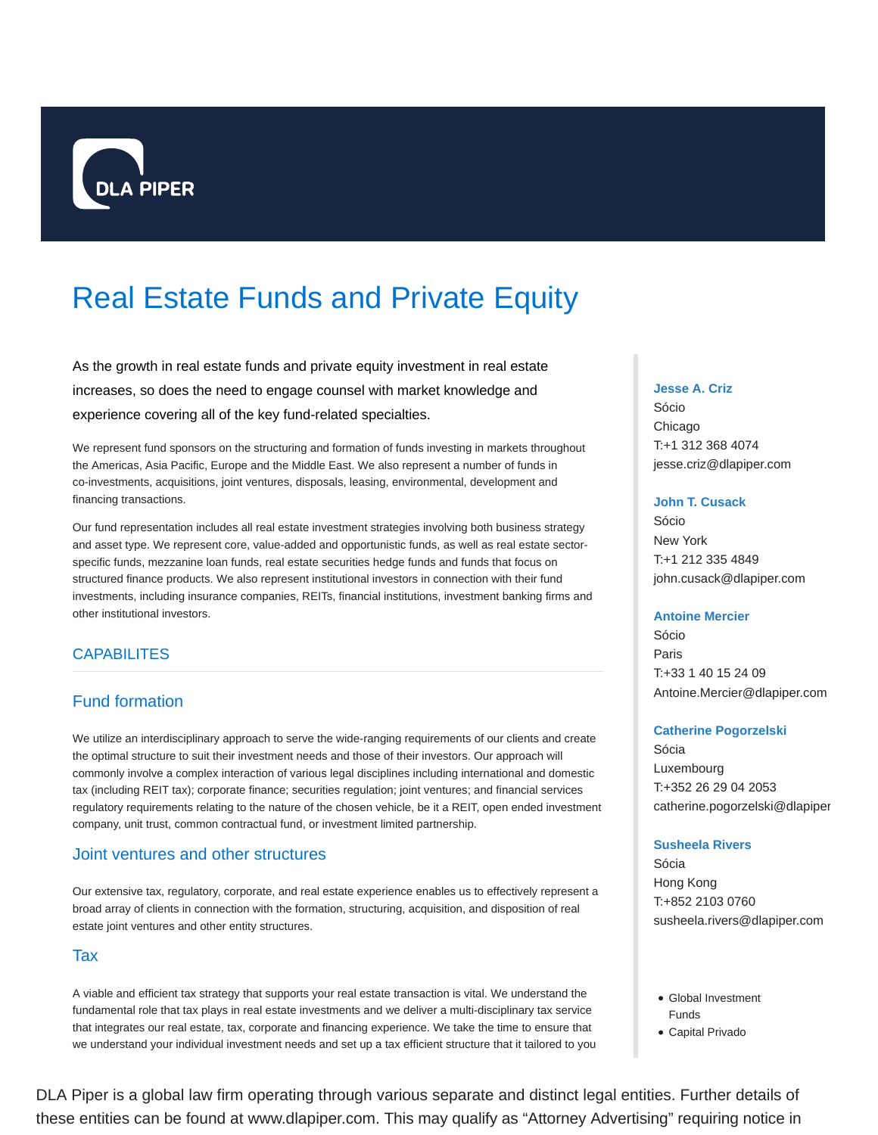

# Real Estate Funds and Private Equity

As the growth in real estate funds and private equity investment in real estate increases, so does the need to engage counsel with market knowledge and experience covering all of the key fund-related specialties.

We represent fund sponsors on the structuring and formation of funds investing in markets throughout the Americas, Asia Pacific, Europe and the Middle East. We also represent a number of funds in co-investments, acquisitions, joint ventures, disposals, leasing, environmental, development and financing transactions.

Our fund representation includes all real estate investment strategies involving both business strategy and asset type. We represent core, value-added and opportunistic funds, as well as real estate sectorspecific funds, mezzanine loan funds, real estate securities hedge funds and funds that focus on structured finance products. We also represent institutional investors in connection with their fund investments, including insurance companies, REITs, financial institutions, investment banking firms and other institutional investors.

## **CAPABILITES**

# Fund formation

We utilize an interdisciplinary approach to serve the wide-ranging requirements of our clients and create the optimal structure to suit their investment needs and those of their investors. Our approach will commonly involve a complex interaction of various legal disciplines including international and domestic tax (including REIT tax); corporate finance; securities regulation; joint ventures; and financial services regulatory requirements relating to the nature of the chosen vehicle, be it a REIT, open ended investment company, unit trust, common contractual fund, or investment limited partnership.

## Joint ventures and other structures

Our extensive tax, regulatory, corporate, and real estate experience enables us to effectively represent a broad array of clients in connection with the formation, structuring, acquisition, and disposition of real estate joint ventures and other entity structures.

### **Tax**

A viable and efficient tax strategy that supports your real estate transaction is vital. We understand the fundamental role that tax plays in real estate investments and we deliver a multi-disciplinary tax service that integrates our real estate, tax, corporate and financing experience. We take the time to ensure that we understand your individual investment needs and set up a tax efficient structure that it tailored to you

#### **Jesse A. Criz**

Sócio Chicago T:+1 312 368 4074 jesse.criz@dlapiper.com

#### **John T. Cusack**

Sócio New York T:+1 212 335 4849 john.cusack@dlapiper.com

#### **Antoine Mercier**

Sócio Paris T:+33 1 40 15 24 09 Antoine.Mercier@dlapiper.com

#### **Catherine Pogorzelski**

Sócia Luxembourg T:+352 26 29 04 2053 catherine.pogorzelski@dlapiper

#### **Susheela Rivers**

Sócia Hong Kong T:+852 2103 0760 susheela.rivers@dlapiper.com

- Global Investment Funds
- Capital Privado

DLA Piper is a global law firm operating through various separate and distinct legal entities. Further details of these entities can be found at www.dlapiper.com. This may qualify as "Attorney Advertising" requiring notice in